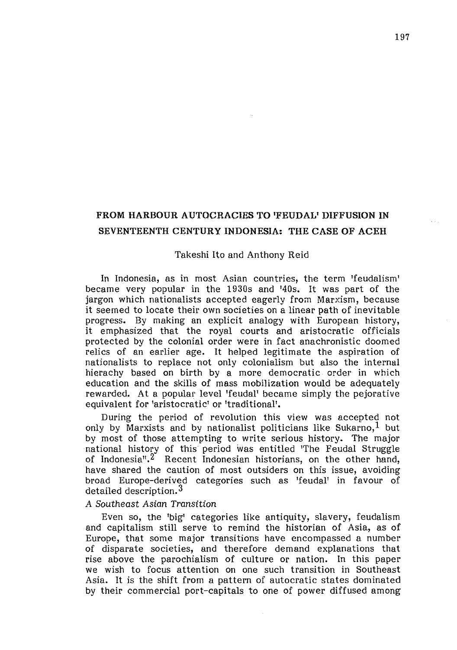# FROM HARBOUR AUTOCRACIES TO 'FEUDAL' DIFFUSION IN SEVENTEENTH CENTURY INDONESIA: THE CASE OF ACEH

#### Takeshi Ito and Anthony Reid

In Indonesia, as in most Asian countries, the term 'feudalism' became very popular in the 1930s and '40s. It was part of the jargon which nationalists accepted eagerly from Marxism, because it seemed to locate their own societies on a linear path of inevitable progress. By making an explicit analogy with European history, it emphasized that the royal courts and aristocratic officials protected by the colonial order were in fact anachronistic doomed relics of an earlier age. It helped legitimate the aspiration of nationalists to replace not only colonialism but also the internal hierachy based on birth by a more democratic order in which education and the skills of mass mobilization would be adequately rewarded. At a popular level 'feudal' became simply the pejorative equivalent for 'aristocratic' or 'traditional'.

During the period of revolution this view was accepted not only by Marxists and by nationalist politicians like Sukarno,<sup>1</sup> but by most of those attempting to write serious history. The major national history of this period was entitled 'The Feudal Struggle of Indonesia".<sup>2</sup> Recent Indonesian historians, on the other hand, have shared the caution of most outsiders on this issue, avoiding broad Europe-derived categories such as 'feudal' in favour of detailed description. $^3$ 

### A Southeast Asian Transition

Even so, the 'big' categories like antiquity, slavery, feudalism and capitalism still serve to remind the historian of Asia, as of Europe, that some major transitions have encompassed a number of disparate societies, and therefore demand explanations that rise above the parochialism of culture or nation. In this paper we wish to focus attention on one such transition in Southeast Asia. It is the shift from a pattern of autocratic states dominated by their commercial port-capitals to one of power diffused among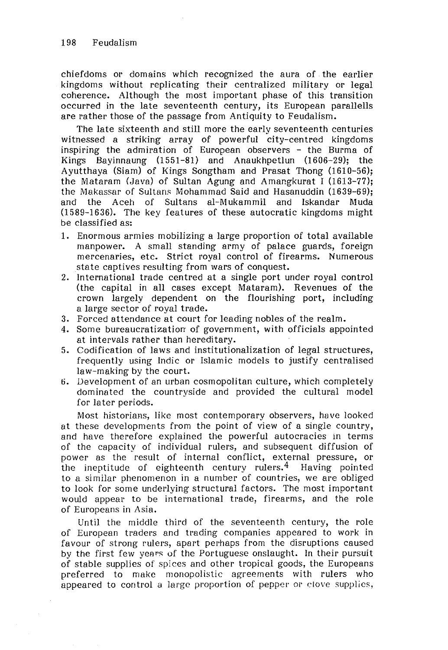chiefdoms or domains which recognized the aura of the earlier kingdoms without replicating their centralized military or legal coherence. Although the most important phase of this transition occurred in the late seventeenth century, its European parallells are rather those of the passage from Antiquity to Feudalism.

The late sixteenth and still more the early seventeenth centuries witnessed a striking array of powerful city-centred kingdoms inspiring the admiration of European observers - the Burma of Kings Bayinnaung (1551-81) and Anaukhpetlun (1606-29); the Ayutthaya (Siam) of Kings Songtham and Prasat Thong (1610-56); the Mataram (Java) of Sultan Agung and Amangkurat I (1613-77); the Makassar of Sultans Mohammad Said and Hasanuddin (1639-69); and the Aceh of Sultans al-Mukammil and Iskandar Muda (1589-1636). The key features of these autocratic kingdoms might be classified as:

- 1. Enormous armies mobilizing a large proportion of total available manpower. A small standing army of palace guards, foreign mercenaries, etc. Strict royal control of firearms. Numerous state captives resulting from wars of conquest.
- 2. International trade centred at a single port under royal control (the capital in all cases except Mataram). Revenues of the crown largely dependent on the flourishing port, including a large sector of royal trade.
- 3. Forced attendance at court for leading nobles of the realm.
- 4. Some bureaucratization of government, with officials appointed at intervals rather than hereditary.
- 5. Codification of laws and institutionalization of legal structures, frequently using lndic or Islamic models to justify centralised law-making by the court.
- ti. Development of an urban cosmopolitan culture, which completely dominated the countryside and provided the cultural model for later periods.

Most historians, like most contemporary observers, have looked at these developments from the point of view of a single country, and have therefore explained the powerful autocracies in terms of the capacity of individual rulers, and subsequent diffusion of power as the result of internal conflict, external pressure, or the ineptitude of eighteenth century rulers.<sup>4</sup> Having pointed to a similar phenomenon in a number of countries, we are obliged to look for some underlying structural factors. The most important would appear to be international trade, firearms, and the role of Europeans in Asia.

Until the middle third of the seventeenth century, the role of European traders and trading companies appeared to work in favour of strong rulers, apart perhaps from the disruptions caused by the first few years of the Portuguese onslaught. In their pursuit of stable supplies of spices and other tropical goods, the Europeans preferred to make monopolistic agreements with rulers who appeared to control a large proportion of pepper or clove supplies,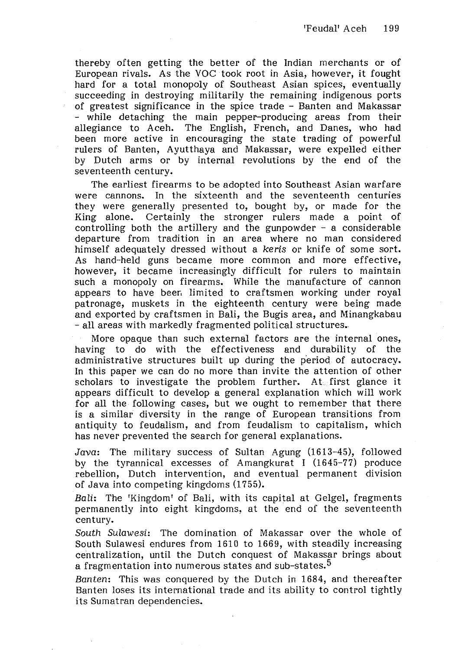thereby often getting the better of the Indian merchants or of European rivals. As the VOC took root in Asia, however, it fought hard for a total monopoly of Southeast Asian spices, eventually succeeding in destroying militarily the remaining indigenous ports of greatest significance in the spice trade - Banten and Makassar - while detaching the main pepper-producing areas from their allegiance to Aceh. The English, French, and Danes, who had been more active in encouraging the state trading of powerful rulers of Banten, Ayutthaya and Makassar, were expelled either by Dutch arms or by internal revolutions by the end of the seventeenth century.

The earliest firearms to be adopted into Southeast Asian warfare were cannons. In the sixteenth and the seventeenth centuries they were generally presented to, bought by, or made for the King alone. Certainly the stronger rulers made a point of controlling both the artillery and the gunpowder - a considerable departure from tradition in an area where no man considered himself adequately dressed without a keris or knife of some sort. As hand-held guns became more common and more effective, however, it became increasingly difficult for rulers to maintain such a monopoly on firearms. While the manufacture of cannon appears to have beer, limited to craftsmen working under royal patronage, muskets in the eighteenth century were being made and exported by craftsmen in Bali, the Bugis area, and Minangkabau -all areas with markedly fragmented political structures.,

More opaque than such external factors are the internal ones, having to do with the effectiveness and durability of the administrative structures built up during the period of autocracy. In this paper we can do no more than invite the attention of other scholars to investigate the problem further. At first glance it appears difficult to develop a general explanation which will work for all the following cases, but we ought to remember that there is a similar diversity in the range of European transitions from antiquity to feudalism, and from feudalism to capitalism, which has never prevented the search for general explanations.

Java: The military success of Sultan Agung (1613-45), followed by the tyrannical excesses of Amangkurat I (1645-77) produce rebellion, Dutch intervention, and eventual permanent division of Java into competing kingdoms (1755).

Bali: The 'Kingdom' of Bali, with its capital at Gelgel, fragments permanently into eight kingdoms, at the end of the seventeenth century.

South Sulawesi: The domination of Makassar over the whole of South Sulawesi endures from 1610 to 1669, with steadily increasing centralization, until the Dutch conquest of Makassar brings about a fragmentation into numerous states and sub-states.<sup>5</sup>

Banten: This was conquered by the Dutch in 1684, and thereafter Banten loses its international trade and its ability to control tightly its Sumatran dependencies.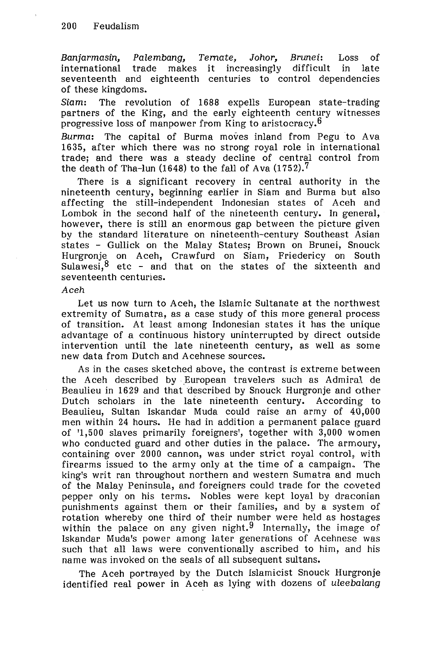Banjarmasin, Palembang, Temate, Johor, Brunei: Loss of international trade makes it increasingly difficult in late seventeenth and eighteenth centuries to control dependencies of these kingdoms.

Siam: The revolution of 1688 expells European state-trading partners of the King, and the early eighteenth century witnesses progressive loss of manpower from King to aristocracy.6

Burma: The capital of Burma moves inland from Pegu to Ava 1635, after which there was no strong royal role in international trade; and there was a steady decline of central control from the death of Tha-lun (1648) to the fall of Ava  $(1752)$ .<sup>7</sup>

There is a significant recovery in central authority in the nineteenth century, beginning earlier in Siam and Burma but also affecting the still-independent Indonesian states of Aceh and Lombok in the second half of the nineteenth century. In general, however, there is still an enormous gap between the picture given by the standard literature on nineteenth-century Southeast Asian states - Gullick on the Malay States; Brown on Brunei, Snouck Hurgronje on Aceh, Crawfurd on Siam, Friedericy on South Sulawesi, $^8$  etc – and that on the states of the sixteenth and seventeenth centuries.

### Aceh

Let us now turn to Aceh, the Islamic Sultanate at the northwest extremity of Sumatra, as a case study of this more general process of transition. At least among Indonesian states it has the unique advantage of a continuous history uninterrupted by direct outside intervention until the late nineteenth century, as well as some new data from Dutch and Acehnese sources.

As in the cases sketched above, the contrast is extreme between the Aceh described by European travelers such as Admiral de Beaulieu in 1629 and that described by Snouck Hurgronje and other Dutch scholars in the late nineteenth century. According to Beaulieu, Sultan Iskandar Muda could raise an army of 40,000 men within 24 hours. He had in addition a permanent palace guard of '1,500 slaves primarily foreigners', together with 3,000 women who conducted guard and other duties in the palace. The armoury, containing over 2000 cannon, was under strict royal control, with firearms issued to the army only at the time of a campaign.. The king's writ ran throughout northern and western Sumatra and much of the Malay Peninsula, and foreigners could trade for the coveted pepper only on his terms. Nobles were kept loyal by draconian punishments against them or their families, and by a system of rotation whereby one third of their number were held as hostages within the palace on any given night.<sup>9</sup> Internally, the image of Iskandar Muda's power among later generations of Acehnese was such that all laws were conventionally ascribed to him, and his name was invoked on the seals of all subsequent sultans.

The Aceh portrayed by the Dutch Islamicist Snouck Hurgronje identified real power in Aceh as lying with dozens of uleebalang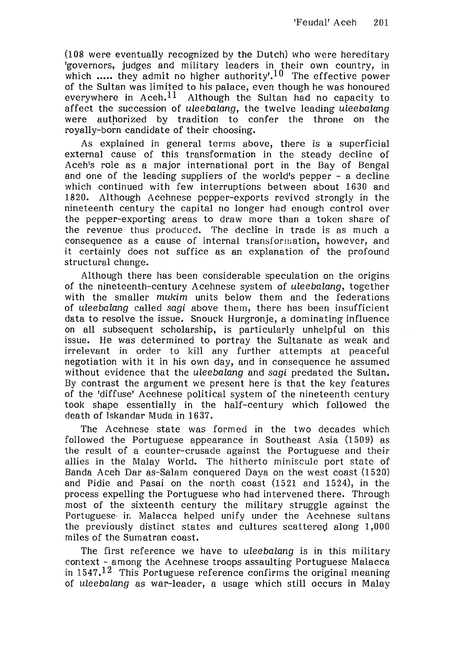(1 08 were eventually recognized by the Dutch) who were hereditary 'governors, judges and military leaders in their own country, in which  $\ldots$  they admit no higher authority'.<sup>10</sup> The effective power of the Sultan was limited to his palace, even though he was honoured everywhere in Aceh.<sup>11</sup> Although the Sultan had no capacity to affect the succession of uleebalang, the twelve leading uleebalang were authorized by tradition to confer the throne on the royally-born candidate of their choosing.

As explained in general terms above, there is a superficial external cause of this transformation in the steady decline of Aceh's role as a major international port in the Bay of Bengal and one of the leading suppliers of the world's pepper - a decline which continued with few interruptions between about 1630 and 1820. Although Acehnese pepper-exports revived strongly in the nineteenth century the capital no longer had enough control over the pepper-exporting areas to draw more than a token share of the revenue thus produced. The decline in trade is as much a consequence as a cause of internal transformation, however, and it certainly does not suffice as an explanation of the profound structural change.

Although there has been considerable speculation on the origins of the nineteenth-century Acehnese system of uleebalang, together with the smaller mukim units below them and the federations of uleebalang called sagi above them, there has been insufficient data to resolve the issue. Snouck Hurgronje, a dominating influence on all subsequent scholarship, is particularly unhelpful on this issue. He was determined to portray the Sultanate as weak and irrelevant in order to kill any further attempts at peaceful negotiation with it in his own day, and in consequence he assumed without evidence that the uleebalang and sagi predated the Sultan. By contrast the argument we present here is that the key features of the 'diffuse' Acehnese political system of the nineteenth century took shape essentially in the half-century which followed the death of Tskandar Muda in 1637.

The Acehnese state was formed in the two decades which followed the Portuguese appearance in Southeast Asia (1509) as the result of a counter-crusade against the Portuguese and their allies in the Malay World. The hitherto miniscule port state of Banda Aceh Dar as-Salam conquered Daya on the west coast (1520) and Pidie and Pasai on the north coast (1521 and 1524), in the process expelling the Portuguese who had intervened there. Through most of the sixteenth century the military struggle against the Portuguese in Malacca helped unify under the Acehnese sultans the previously distinct states and cultures scattered along  $1,000$ miles of the Sumatran coast.

The first reference we have to uleebalang is in this military context - among the Acehnese troops assaulting Portuguese Malacca in 1547.12 This Portuguese reference confirms the original meaning of uleebalang as war-leader, a usage which still occurs in Malay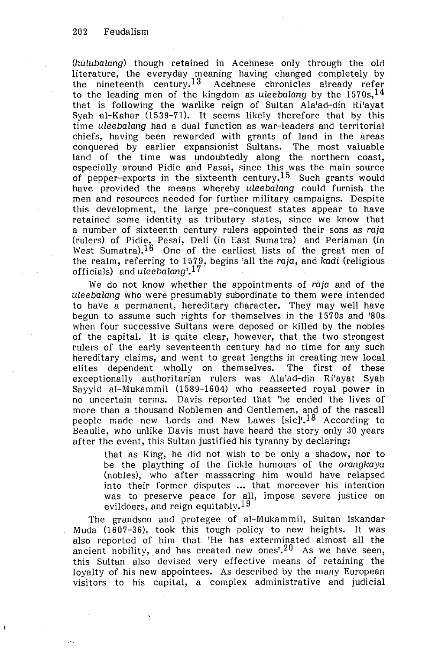(hulubalang) though retained in Acehnese only through the old literature, the everyday meaning having changed completely by the nineteenth century.<sup>13</sup> Acehnese chronicles already refer to the leading men of the kingdom as uleebalang by the  $1570s$ ,  $^{14}$ that is following the warlike reign of Sultan Ala'ad-din Ri'ayat Syah al-Kahar (1539-71). It seems likely therefore that by this time uleebalang had a dual function as war-leaders and territorial chiefs, having been rewarded with grants of land in the areas conquered by earlier expansionist Sultans. The most valuable land of the time was undoubtedly along the northern coast, especially around Pidie and Pasai, since this was the main source of pepper-exports in the sixteenth century.<sup>15</sup> Such grants would have provided the means whereby uleebalang could furnish the men and resources needed for further military campaigns. Despite this development, the large pre-conquest states appear to have retained some identity as tributary states, since we know that a number of sixteenth century rulers appointed their sons as raja (rulers) of Pidie, Pasai, Deli (in East Sumatra) and Periaman (in West Sumatra).<sup>16</sup> One of the earliest lists of the great men of the realm, referring to 1579, begins 'all the raja, and kadi (religious officials) and uleebalang<sup>'17</sup>

We do not know whether the appointments of raja and of the uleebalang who were presumably subordinate to them were intended to have a permanent, hereditary character. They may well have begun to assume such rights for themselves in the 1570s and '80s when four successive Sultans were deposed or killed by the nobles of the capital. It is quite clear, however, that the two strongest rulers of the early seventeenth century had no time for any such hereditary claims, and went to great lengths in creating new local elites dependent wholly on themselves. The first of these exceptionally authoritarian rulers was Ala'ad-din Ri'ayat Syah Sayyid al-Mukammil (1589-1604) who reasserted royal power in no uncertain terms. Davis reported that 'he ended the lives of more than a thousand Noblemen and Gentlemen, and of the rascall people made new Lords and New Lawes [sic]<sup>1,18</sup> According to Beaulie, who unlike Davis must have heard the story only 30 years after the event, this Sultan justified his tyranny by declaring:

that as King, he did not wish to be only a shadow, nor to be the plaything of the fickle humours of the orangkaya (nobles), who after massacring him would have relapsed into their former disputes .•. that moreover his intention was to preserve peace for all, impose severe justice on evildoers, and reign equitably.<sup>19</sup>

The grandson and protegee of al-Mukammil, Sultan Iskandar Muda (1607-36), took this tough policy to new heights. It was also reported of him that 'He has exterminated almost all the ancient nobility, and has created new ones<sup> $20$ </sup> As we have seen, this Sultan also devised very effective means of retaining the loyalty of his new appointees. As described by the many European visitors to his capital, a complex administrative and judicial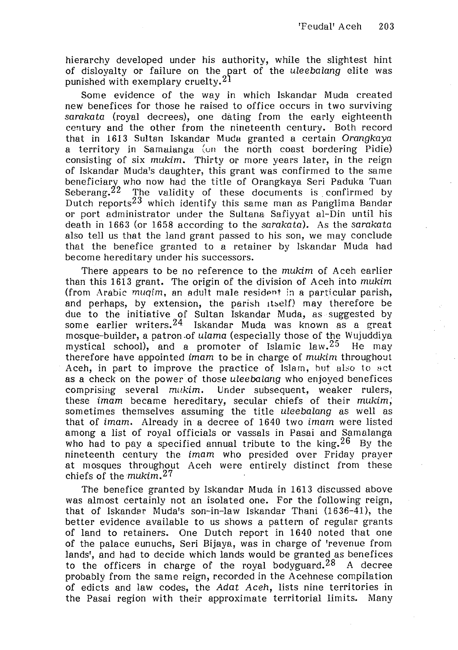hierarchy developed under his authority, while the slightest hint of disloyalty or failure on the part of the uleebalang elite was punished with exemplary cruelty.21

Some evidence of the way in which Iskandar Muda created new benefices for those he raised to office occurs in two surviving sarakata (royal decrees), one dating from the early eighteenth century and the other from the nineteenth century. Both record that in 1613 Sultan Iskandar Muda granted a certain Orangkaya a territory in Samalanga (on the north coast bordering Pidie) consisting of six mukim. Thirty or more years later, in the reign of Iskandar Muda's daughter, this grant was confirmed to the same beneficiarv who now had the title of Orangkaya Seri Paduka Tuan Seberang.<sup>22</sup> The validity of these documents is confirmed by Dutch reports<sup>23</sup> which identify this same man as Panglima Bandar or port administrator under the Sultana Safiyyat al-Din until his death in 1663 (or 1658 according to the sarakata). As the sarakata also tell us that the land grant passed to his son, we may conclude that the benefice granted to a retainer by Iskandar Muda had become hereditary under his successors.

There appears to be no reference to the mukim of Aceh earlier than this 1613 grant. The origin of the division of Aceh into mukim (from Arabic  $muqim$ , an adult male resident in a particular parish, and perhaps, by extension, the parish itself) may therefore be due to the initiative of Sultan Iskandar Muda, as suggested by some earlier writers.<sup>24</sup> Iskandar Muda was known as a great mosque-builder, a patron .of ulama (especially those of the Wujuddiya mystical school), and a promoter of Islamic law.<sup>25</sup> He may therefore have appointed imam to be in charge of mukim throughout Aceh, in part to improve the practice of Islam, but also to act as a check on the power of those uleebalang who enjoyed benefices comprising several mukim. Under subsequent, weaker rulers, these imam became hereditary, secular chiefs of their mukim; sometimes themselves assuming the title uleebalang as well as that of imam. Already in a decree of 1640 two imam were listed among a list of royal officials or vassals in Pasai and Samalanga who had to pay a specified annual tribute to the king.<sup>26</sup> By the nineteenth century the imam who presided over Friday prayer at mosques throughout Aceh were entirely distinct from these chiefs of the  $m$ ukim.<sup>27</sup>

The benefice granted by Iskandar Muda in 1613 discussed above was almost certainly not an isolated one. For the following reign, that of Iskandar Muda's son-in-law Iskandar Thani (1636-41), the better evidence available to us shows a pattern of regular grants of land to retainers. One Dutch report in 1640 noted that one of the palace eunuchs, Seri Bijaya, was in charge of 'revenue from lands', and had to decide which lands would be granted as benefices to the officers in charge of the royal bodyguard.<sup>28</sup> A decree probably from the same reign, recorded in the Acehnese compilation of edicts and law codes, the Adat Aceh, lists nine territories in the Pasai region with their approximate territorial limits. Many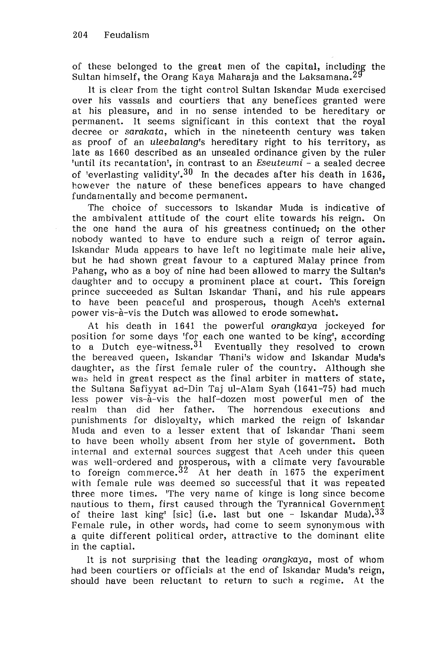of these belonged to the great men of the capital, including the Sultan himself, the Orang Kaya Maharaja and the Laksamana.  $29$ 

It is clear from the tight control Sultan Iskandar Muda exercised over his vassals and courtiers that any benefices granted were at his pleasure, and in no sense intended to be hereditary or permanent. It seems significant in this context that the royal decree or sarakata, which in the nineteenth century was taken as proof of an uleebalang's hereditary right to his territory, as late as 1660 described as an unsealed ordinance given by the ruler 'until its recantation', in contrast to an *Eseuteumi* – a sealed decree of 'everlasting validity'.<sup>30</sup> In the decades after his death in 1636, however the nature of these benefices appears to have changed fundamentally and become permanent.

The choice of successors to Iskandar Muda is indicative of the ambivalent attitude of the court elite towards his reign. On the one hand the aura of his greatness continued; on the other nobody wanted to have to endure such a reign of terror again. Iskandar Muda appears to have left no legitimate male heir alive, but he had shown great favour to a captured Malay prince from Pahang, who as a boy of nine had been allowed to marry the Sultan's daughter and to occupy a prominent place at court. This foreign prince succeeded as Sultan Iskandar Thani, and his rule appears to have been peaceful and prosperous, though Aceh's external power vis-a-vis the Dutch was allowed to erode somewhat.

At his death in 1641 the powerful orangkaya jockeyed for position for some days 'for each one wanted to be king', according to a Dutch eve-witness.  $31$  Eventually they resolved to crown the bereaved queen, Iskandar Thani's widow and Iskandar Muda's daughter, as the first female ruler of the country. Although she was held in great respect as the final arbiter in matters of state. the Sultana Safiyyat ad-Din Taj ul-Alam Syah (1641-75) had much less power vis-a-vis the half-dozen most powerful men of the realm than did her father. The horrendous executions and punishments for disloyalty, which marked the reign of Iskandar M uda and even to a lesser extent that of Iskandar Thani seem to have been wholly absent from her style of government. Both internal and external sources suggest that Aceh under this queen was well-ordered and prosperous, with a climate very favourable to foreign commerce.<sup>32</sup> At her death in 1675 the experiment with female rule was deemed so successful that it was repeated three more times. 'The very name of kinge is long since become nautious to them, first caused through the Tyrannical Government of theire last king' [sic) (i.e. last but one - Iskandar Muda).33 Female rule, in other words, had come to seem synonymous with a quite different political order, attractive to the dominant elite in the captial.

It is not surprising that the leading orangkaya, most of whom had been courtiers or officials at the end of Iskandar Muda's reign, should have been reluctant to return to such a regime. At the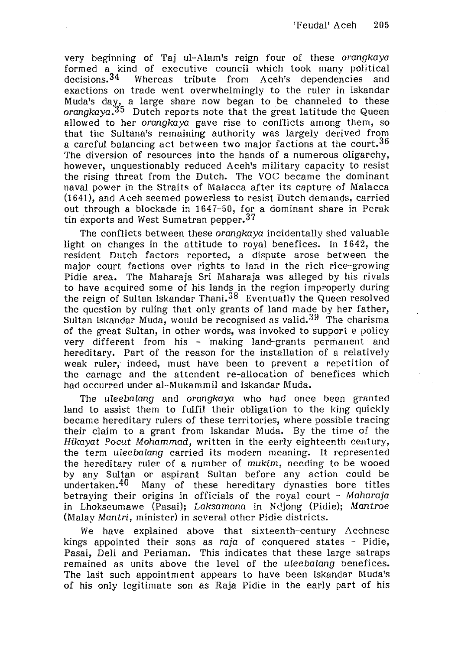very beginning of Taj ul-Alam's reign four of these orangkaya formed a kind of executive council which took many political decisions.<sup>34</sup> Whereas tribute from Aceh's dependencies and exactions on trade went overwhelmingly to the ruler in Iskandar Muda's day, a large share now began to be channeled to these orangkaya.35 Dutch reports note that the great latitude the Queen allowed to her orangkaya gave rise to conflicts among them, so that the Sultana's remaining authority was largely derived from a careful balancing act between two major factions at the court.  $36$ The diversion of resources into the hands of a numerous oligarchy, however, unquestionably reduced Aceh's military capacity to resist the rising threat from the Dutch. The VOC became the dominant naval power in the Straits of Malacca after its capture of Malacca (1641), and Aceh seemed powerless to resist Dutch demands, carried out through a blockade in 1647-50, for a dominant share in Perak tin exports and West Sumatran pepper.<sup>37</sup>

The conflicts between these orangkaya incidentally shed valuable light on changes in the attitude to royal benefices. In 1642, the resident Dutch factors reported, a dispute arose between the major court factions over rights to land in the rich rice-growing Pidie area. The Maharaja Sri Maharaja was alleged by his rivals to have acquired some of his lands in the region improperly during the reign of Sultan Iskandar Thani.38 Eventually the Queen resolved the question by ruling that only grants of land made by her father, Sultan Iskandar Muda, would be recognised as valid.<sup>39</sup> The charisma of the great Sultan, in other words, was invoked to support a policy very different from his - making land-grants permanent and hereditary. Part of the reason for the installation of a relatively weak ruler, indeed, must have been to prevent a repetition of the carnage and the attendent re-allocation of benefices which had occurred under al-Mukammil and Iskandar Muda.

The uleebalang and orangkaya who had once been granted land to assist them to fulfil their obligation to the king quickly became hereditary rulers of these territories, where possible tracing their claim to a grant from Iskandar Muda. By the time of the Hikayat Pocut Mohammad, written in the early eighteenth century, the term uleebalang carried its modern meaning. It represented the hereditary ruler of a number of mukim, needing to be wooed by any Sultan or aspirant Sultan before any action could be undertaken.<sup>40</sup> Many of these hereditary dynasties bore titles betraying their origins in officials of the royal court - Maharaja in Lhokseumawe (Pasai); Laksamana in Ndjong (Pidie); Mantroe (Malay Mantri, minister) in several other Pidie districts.

We have explained above that sixteenth-century Acehnese kings appointed their sons as raja of conquered states - Pidie, Pasai, Deli and Periaman. This indicates that these large satraps remained as units above the level of the uleebalang benefices. The last such appointment appears to have been Iskandar Muda's of his only legitimate son as Raja Pidie in the early part of his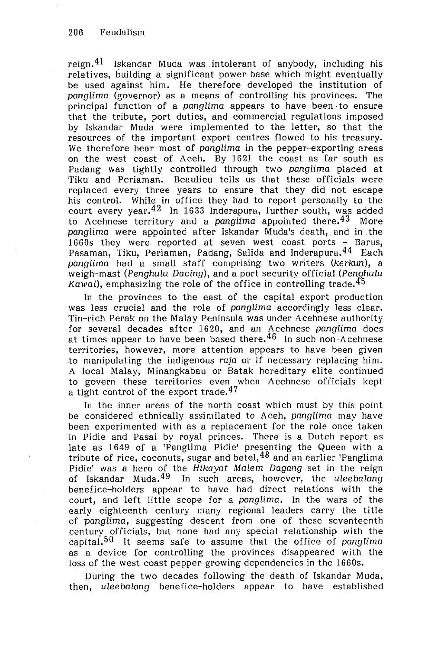reign.  $41$  Iskandar Muda was intolerant of anybody, including his relatives, building a significant power base which might eventually be used against him. He therefore developed the institution of panglima (governor) as a means of controlling his provinces. The principal function of a panglima appears to have been to ensure that the tribute, port duties, and commercial regulations imposed by Iskandar Muda were implemented to the letter, so that the resources of the important export centres flowed to his treasury. We therefore hear most of panglima in the pepper-exporting areas on the west coast of Aceh. By 1621 the coast as far south as Padang was tightly controlled through two panglima placed at Tiku and Periaman. Beaulieu tells us that these officials were replaced every three years to ensure that they did not escape his control. While in office they had to report personally to the  $\frac{1}{2}$  court every year,  $\frac{42}{10}$  In 1633 Inderapura, further south, was added to Acehnese territory and a panglima appointed there.  $43$  More panglima were appointed after Iskandar Muda's death, and in the 1660s they were reported at seven west coast ports - Barus, Pasaman, Tiku, Periaman, Padang, Salida and Inderapura. 44 Each panglima had a small staff comprising two writers (kerkun), a weigh-mast (Penghulu Dacing), and a port security official (Penghulu Kawal), emphasizing the role of the office in controlling trade. $^{45}$ 

In the provinces to the east of the capital export production was less crucial and the role of panglima accordingly less clear. Tin-rich Perak on the Malay Peninsula was under Acehnese authority for several decades after 1620, and an Acehnese panglima does at times appear to have been based there.  $46$  In such non-Acehnese territories, however, more attention appears to have been given to manipulating the indigenous raja or if necessary replacing him. A local Malay, Minangkabau or Batak hereditary elite continued to govern these territories even when Acehnese officials kept a tight control of the export trade.  $47$ 

ln the inner areas of the north coast which must by this point be considered ethnically assimilated to Aceh, panglima may have been experimented with as a replacement for the role once taken in Pidie and Pasai by royal princes. There is a Dutch report as late as 1649 of a 'Panglima Pidie' presenting the Queen with a tribute of rice, coconuts, sugar and betel,  $48$  and an earlier 'Panglima Pidie' was a hero of the Hikayat Malem Dagang set in the reign of Iskandar Muda.<sup>49</sup> In such areas, however, the uleebalang benefice-holders appear to have had direct relations with the court, and left little scope for a panglima. In the wars of the early eighteenth century many regional leaders carry the title of panglima, suggesting descent from one of these seventeenth century officials, but none had any special relationship with the capital.<sup>50</sup> It seems safe to assume that the office of panglima as a device for controlling the provinces disappeared with the loss of the west coast pepper-growing dependencies in the 1660s.

During the two decades following the death of Iskandar Muda, then, uleebalang benefice-holders appear to have established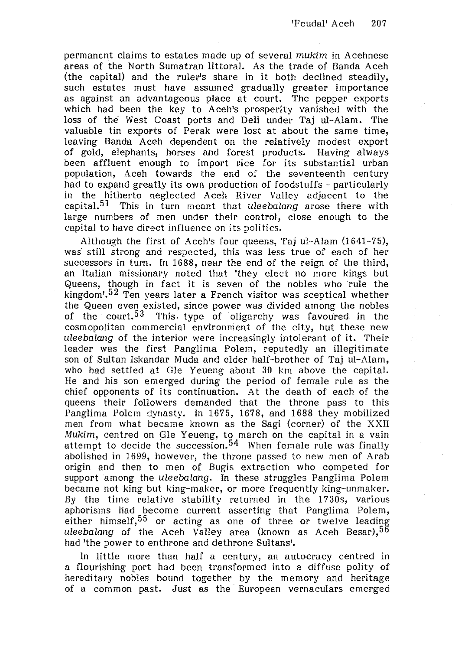permanent claims to estates made up of several mukim in Acehnese areas of the North Sumatran littoral. As the trade of Banda Aceh (the capital) and the ruler's share in it both declined steadily, such estates must have assumed gradually greater importance as against an advantageous place at court. The pepper exports which had been the key to Aceh's prosperity vanished with the loss of the West Coast ports and Deli under Taj ul-Alam. The valuable tin exports of Perak were lost at about the same time, leaving Banda Aceh dependent on the relatively modest export of gold, elephants, horses and forest products. Having always been affluent enough to import rice for its substantial urban population, Aceh towards the end of the seventeenth century had to expand greatly its own production of foodstuffs - particularly in the hitherto neglected Aceh River Valley adjacent to the capital.<sup>51</sup> This in turn meant that uleebalang arose there with large numbers of men under their control, close enough to the capital to have direct influence on its politics.

Although the first of Aceh's four queens, Taj ul-Alam (1641-75), was still strong and respected, this was less true of each of her successors in turn. In 1688, near the end of the reign of the third, an Italian missionary noted that 'they elect no more kings but Queens, though in fact it is seven of the nobles who rule the kingdom<sup> $1.52$ </sup> Ten years later a French visitor was sceptical whether the Queen even existed, since power was divided among the nobles of the court.<sup>53</sup> This type of oligarchy was favoured in the cosmopolitan commercial environment of the city, but these new uleebalang of the interior were increasingly intolerant of it. Their leader was the first Panglima Polem, reputedly an illegitimate son of Sultan Iskandar Muda and elder half-brother of Taj ul-Alam, who had settled at Gle Yeueng about 30 km above the capital. He and his son emerged during the period of female rule as the chief opponents of its continuation. At the death of each of the queens their followers demanded that the throne pass to this Panglima Polcm dynasty. In 1675, 1678, and 1688 they mobilized men from what became known as the Sagi (corner) of the XXII Mukim, centred on Gle Yeueng, to march on the capital in a vain attempt to decide the succession.<sup>54</sup> When female rule was finally abolished in 1699, however, the throne passed to new men of Arab origin and then to men of Bugis extraction who competed for support among the uleebalang. In these struggles Panglima Polem became not king but king-maker, or more frequently king-unmaker. By the time relative stability returned in the 1730s, various aphorisms had become current asserting that Panglima Polem, either himself,<sup>55</sup> or acting as one of three or twelve leading uleebalang of the Aceh Valley area (known as Aceh Besar),  $56$ had 'the power to enthrone and dethrone Sultans'.

In little more than half a century, an autocracy centred in a flourishing port had been transformed into a diffuse polity of hereditary nobles bound together by the memory and heritage of a common past. Just as the European vernaculars emerged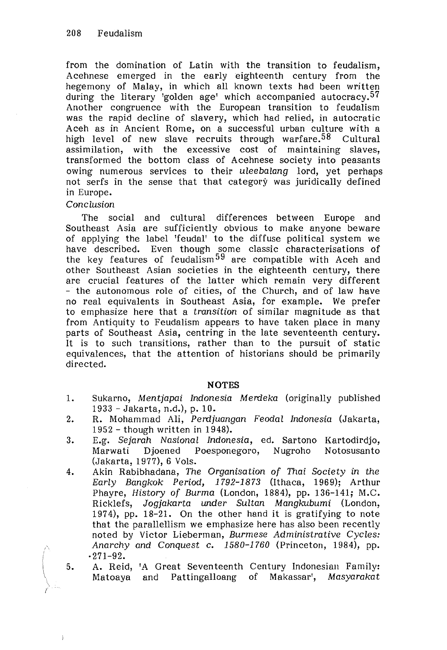from the domination of Latin with the transition to feudalism, Acehnese emerged in the early eighteenth century from the hegemony of Malay, in which all known texts had been written during the literary 'golden age' which accompanied autocracy.<sup>57</sup> Another congruence with the European transition to feudalism was the rapid decline of slavery, which had relied, in autocratic Aceh as in Ancient Rome, on a successful urban culture with a high level of new slave recruits through warfare.<sup>58</sup> Cultural assimilation, with the excessive cost of maintaining slaves, transformed the bottom class of Acehnese society into peasants owing numerous services to their uleebalang lord, yet perhaps not serfs in the sense that that category was juridically defined in Europe.

## Conclusion

The social and cultural differences between Europe and Southeast Asia are sufficiently obvious to make anyone beware of applying the label 'feudal' to the diffuse political system we have described. Even though some classic characterisations of the key features of feudalism<sup>59</sup> are compatible with Aceh and other Southeast Asian societies in the eighteenth century, there are crucial features of the latter which remain very different - the autonomous role of cities, of the Church, and of law have no real equivalents in Southeast Asia, for example. We prefer to emphasize here that a transition of similar magnitude as that from Antiquity to Feudalism appears to have taken place in many parts of Southeast Asia, centring in the late seventeenth century. It is to such transitions, rather than to the pursuit of static equivalences, that the attention of historians should be primarily directed.

## **NOTES**

- 1. Sukarno, Mentjapai Indonesia Merdeka (originally published 1933 -Jakarta, n.d.), p. 10.
- 2. R. Mohammad Ali, Perdjuangan Feodal Indonesia (Jakarta, 1952 - though written in 1948).
- 3. E.g. Sejarah Nasional Indonesia, ed. Sartono Kartodirdjo, Marwati Djoened Poesponegoro, Nugroho Notosusanto (Jakarta, 1977), 6 Yols.
- 4. Akin Rabibhadana, The Organisation of Thai Society in the Early Bangkok Period, 1792-1873 (Ithaca, 1969); Arthur Phayre, History of Burma (London, 1884), pp. 136-141; M.C. Ricklefs, Jogjakarta under Sultan Mangkubumi (London, 1974), pp. 18-21. On the other hand it is gratifying to note that the parallellism we emphasize here has also been recently noted by Victor Lieberman, Burmese Administrative Cycles: Anarchy and Conquest c. 1580-1760 (Princeton, 1984), pp. ·271-92.
- 5. A. Reid, 'A Great Seventeenth Century Indonesian Family: Matoaya and Pattingalloang of Makassar', Masyarakat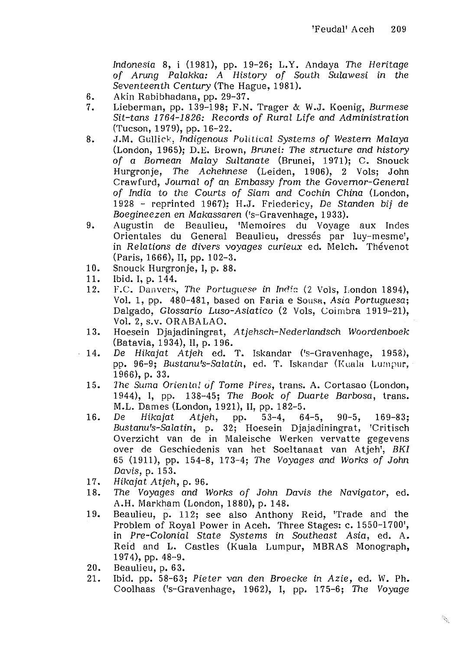Indonesia 8, i (1981), pp. 19-26; L.Y. Andaya The Heritage of Arung Palakka: A History of South Sulawesi in the Seventeenth Century (The Hague, 1981).

- 6. Akin Rabibhadana, pp. 29-37.<br>7. Lieberman, pp. 139-198: F.N.
- Lieberman, pp. 139-198; F.N. Trager & W.J. Koenig, Burmese Sit-tans 1764-1826: Records of Rural Life and Administration (Tucson, 1979), pp. 16-22.
- 8. J.M. Gullick, Indigenous Political Systems of Western Malaya (London, 1965); D.E. Brown, Brunei: The structure and history of a Bornean Malay Sultanate (Brunei, 1971); C. Snouck Hurgronje, The Achehnese (Leiden, 1906), 2 Vols: John Crawfurd, Journal of an Embassy from the Governor-General of India to the Courts of Siam and Cochin China (London, 1928 - reprinted 1967): H.J. Friedericy, De Standen bij de Boegineezen en Makassaren ('s-Gravenhage, 1933).
- 9. Augustin de Beaulieu, 'Memoires du Voyage aux Indes Orientales du General Beaulieu, dressés par luy-mesme', in Relations de divers voyages curieux ed. Melch. Thevenot (Paris, 1666), II, pp. 102-3.
- 10. Snouck Hurgronje, I, p. 88.<br>11. Ibid. I. p. 144.
- 11. Ibid. I, p. 144.<br>12. F.C. Danvers.
- F.C. Danvers, The Portuguese in India (2 Vols, London 1894), Vol. 1, pp. 480-481, based on Faria e Sousa, Asia Portuguesa; Dalgado, Glossario Luso-Asiatico (2 Vols, Coimbra 1919-21), Vol. 2, s.v. ORABALAO.
- 13. Hoesein Djajadiningrat, Atjehsch-Nederlandsch Woordenboek (Batavia, 1934), II, p. 196.
- 14. De Hikajat Atjeh ed. T. Iskandar ('s-Gravenhage, 1958), pp. 96-9; Bustanu's-Salatin, ed. T. Iskandar (Kuala Lumpur, 1966), p. 33.
	- 15. The Suma Oriental of Tome Pires, trans. A. Cortasao (London, 1944), I, pp. 138-45; The Book of Duarte Barbosa, trans. M.L. Dames (London, 1921), II, pp. 182-5.
	- 16. De Hikajat Atjeh, pp. 53-4, 64-5, 90-5, 169-83; Bustanu's-Salatin, p. 32; Hoesein Djajadiningrat, 'Critisch Overzicht van de in Maleische Werken vervatte gegevens over de Geschiedenis van het Soeltanaat van Atjeh', BKI 65 (1911), pp. 154-8, 173-4; The Voyages and Works of John Davis, p. 153.
	- 17. Hikajat Atjeh, p. 96.<br>18. The Voyages and V
	- The Voyages and Works of John Davis the Navigator, ed. A.H. Markham (London, 1880), p. 148.
	- 19. Beaulieu, p. 112; see also Anthony Reid, 'Trade and the Problem of Royal Power in Aceh. Three Stages: c. 1550-1700', in Pre-Colonial State Systems in Southeast Asia, ed. A. Reid and L. Castles (Kuala Lumpur, MBRAS Monograph, 1974), pp. 48-9.
	- 20. Beaulieu, p. 63.
	- 21. Ibid. pp. 58-63; Pieter van den Broecke in Azie, ed. W. Ph. Coolhaas ('s-Gravenhage, 1962), I, pp. 175-6; The Voyage

 $\mathcal{G}$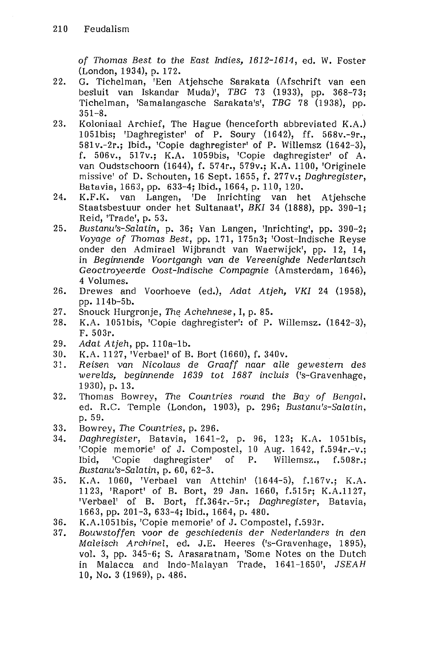of Thomas Best to the East Indies, 1612-1611, ed. W. Foster (London, 1934), p. 172.

- 22. G. Tichelman, 'Een Atjehsche Sarakata (Afschrift van een besluit van Iskandar Muda)', TBG 73 (1933), pp. 368-73; Tichelman, 'Samalangasche Sarakata's', TBG 78 (1938), pp. 351-8.
- 23. Koloniaal Archief, The Hague (henceforth abbreviated K.A.) 1051bis; 'Daghregister' of P. Soury (1642), ff. 568v.-9r., 581 v.-2r.; Ibid., 'Copie daghregister' of P. Willemsz (1642-3), f. 506v., 517v.; K.A. 1059bis, 'Copie daghregister' of A. van Oudstschoorn (1644), f. 574r., 579v.; K.A. 1100, 'Originele missive' of D. Schouten, 16 Sept. 1655, f. 277v.; Daghregister, Batavia, 1663, pp. 633-4; Ibid., 1664, p. 110, 120.
- 24. K.F.K. van Langen, 'De Inrichting van het Atjehsche Staatsbestuur onder het Sultanaat', BKI 34 (1888), pp. 390-1; Reid, 'Trade', p. 53.
- 25. Bustanu's-Salatin, p. 36; Van Langen, 'Inrichting', pp. 390-2; Voyage of Thomas Best, pp. 171, 175n3; 'Oost-Indische Reyse onder den Admirael Wijbrandt van Waerwijck', pp. 12, 14, in Beginnende Voortgangh van de Vereenighde Nederlantsch Geoctroyeerde Oost-Indische Compagnie (Amsterdam, 1646), 4 Volumes.
- 26. Drewes and Voorhoeve (ed.), Adat Atjeh, VKI 24 (1958), pp. 114b-5b.
- 27. Snouck Hurgronje, The Achehnese, I, p. 85.
- 28. K.A. 1051bis, 'Copie daghregister': of P. Willemsz. (1642-3), F. 503r.
- 29. Adat Atjeh, pp. 110a-1b.<br>30. K.A. 1127, 'Verbael' of B.
- K.A. 1127, 'Verbael' of B. Bort (1660), f. 340v.
- 31. Reisen van Nicolaus de Graaff naar alle gewestern des werelds, beginnende 1639 tot 1687 incluis ('s-Gravenhage, 1930), p. 13.
- 32. Thomas Bowrey, The Countries round the Bay of Bengal, ed. R.C. Temple (London, 1903), p. 296; Bustanu's-Salatin, p. 59.
- 33. Bowrey, The Countries, p. 296.<br>34. Daghregister, Batavia, 1641-
- Daghregister, Batavia, 1641-2, p. 96, 123; K.A. 1051bis, 'Copie memorie' of J, Compostel, 10 Aug. 1642, f.594r.-v.; Ibid, 'Copie daghregister' of P. Willemsz., f.508r.; Bustanu's-Salatin, p. 60, 62-3.
- 35. K.A. 1060, 'Verbael van Attchin' (1644-5), f.l67v.; K.A. 1123, 'Raport' of B. Bort, 29 Jan. 1660, f.515r; K.A.1127, 'Verbael' of B. Bort, ff.364r.-5r.; Daghregister, Batavia, 1663, pp. 201-3, 633-4; Ibid., 1664, p. 480.
- 36. K.A.1051bis, 'Copie memorie' of J. Compostel, f.593r.
- 37. Bouwstoffen voor de geschiedenis der Nederlanders in den Maleisch Archinel, ed. J.E. Heeres ('s-Gravenhage, 1895), vol. 3, pp. 345-6; S. Arasaratnam, 'Some Notes on the Dutch in Malacca and Indo-Malayan Trade, 1641-1650', JSEAH 10, No.3 (1969), p. 486.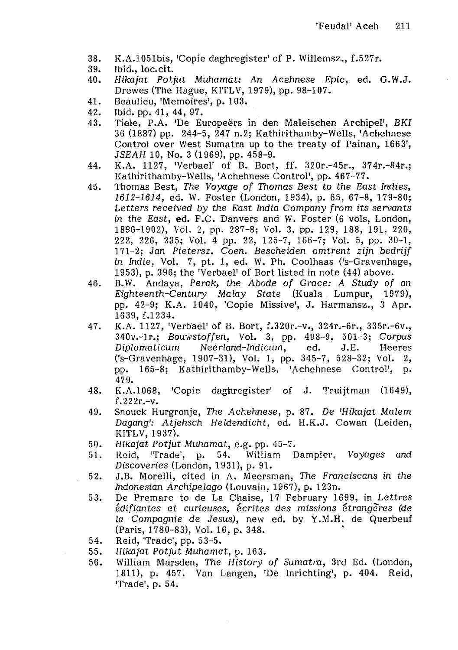- 38. K.A.1051bis, 'Copie daghregister' of P. Willemsz., f.527r.
- 39. Ibid., loc.cit.<br>40. Hikajat Poti
- 40. Hikajat Potjut Muhamat: An Acehnese Epic, ed. G.W.J. Drewes (The Hague, KITLV, 1979), pp. 98-107.
- 41. Beaulieu, 'Memoires', p. 103.<br>42. Ibid. pp. 41. 44. 97.
- 42. Ibid. pp. 41, 44, 97.<br>43. Tiele, P.A. 'De Eu
- Tiele, P.A. 'De Europeërs in den Maleischen Archipel', BKI 36 (1887) pp. 244-5, 247 n.2; Kathirithamby-Wells, 'Achehnese Control over West Sumatra up to the treaty of Painan, 1663', JSEAH 10, No. 3 (1969), pp. 458-9.
- 44. K.A. 1127, 'Verbael' of B. Bort, ff. 320r.-45r., 374r.-84r.; Kathirithamby-Wells, 'Achehnese Control', pp. 467-77.
- 45. Thomas Best, The Voyage of Thomas Best to the East Indies, 1612-1614, ed. W. Foster (London, 1934), p. 65, 67-8, 179-80; Letters received by the East India Company from its servants in the East, ed. F.C. Danvers and W. Foster (6 vols, London, 1896-1902), \ol. 2, pp. 287-8; Vol. 3, pp. 129, 188, 191, 220, 222, 226, 235; Vol. 4 pp. 22, 125-7, 166-7; Vol. 5, pp. 30-1, 171-2; Jan Pietersz. Coen. Bescheiden omtrent zijn bedrijf in Indie, Vol. 7, pt. 1, ed. W. Ph. Coolhaas ('s-Gravenhage, 1953), p. 396; the 'Verbael' of Bort listed in note (44) above.
- 46. B.W. Andaya, Perak, the Abode of Grace: A Study of an Eighteenth-Century Malay State (Kuala Lumpur, 1979), pp. 42-9; K.A. 1040, 'Copie Missive', J. Harmansz., 3 Apr. 1639, f.1234.
- 47. K.A. 1127, 'Verbael' of B. Bort, f.320r.-v., 324r.-6r., 335r.-6v., 340v.-1r.; Bouwstoffen, Vol. 3, pp. 498-9, 501-3; Corpus<br>Diplomaticum Neerland-Indicum. ed. J.E. Heeres Neerland-Indicum, ed. J.E. Heeres ('s-Gravenhage, 1907-31), Vol. 1, pp. 345-7, 528-32; Vol. 2, pp. 165-8; Kathirithamby-Wells, 'Achehnese Control', p. 479.
- 48. K.A.l068, 'Copie daghregister' of J. Truijtman (1649), f.222r.-v.
- 49. Snouck Hurgronje, The Achehnese, p. 87. De 'Hikajat Malem Dagang': Atjehsch Heldendicht, ed. H.K.J. Cowan (Leiden, KITLV, 1937).
- 50. Hikajat Potjut Muhamat, e.g. pp. 45-7.<br>51. Reid, 'Trade', p. 54. William D
- 51. Reid, 'Trade', p. 54. William Dampier, Voyages and Discoveries (London, 1931), p. 91.
- 52. J.B. Morelli, cited in A. Meersman, The Franciscans in the Indonesian Archipelago (Louvain, 1967), p. 123n.
- 53. De Premare to de La Chaise, 17 February 1699, in Lettres édifiantes et curieuses, écrites des missions étrangeres (de la Compagnie de Jesus), new ed. by Y.M.H. de Querbeuf (Paris, 1780-83), Vol. 16, p. 348.
- 54. Reid, 'Trade', pp. 53-5.
- 55. Hikajat Potjut Muhamat, p. 163.
- 56. William Marsden, The History of Sumatra, 3rd Ed. (London, 1811), p. 457. Van Langen, 'De Inrichting', p. 404. Reid, 'Trade', p. 54.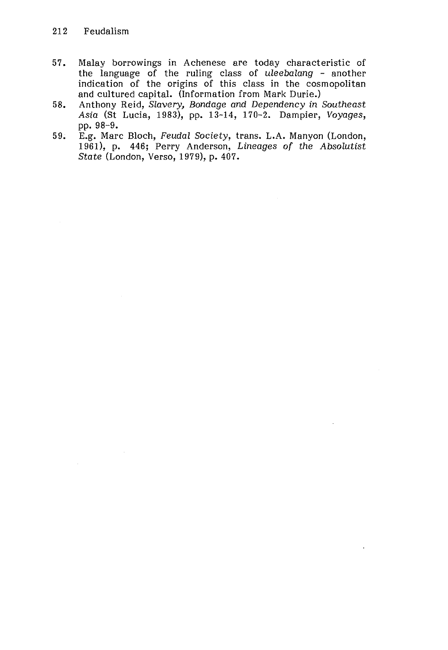- 57. Malay borrowings in Achenese are today characteristic of the language of the ruling class of uleebalang - another indication of the origins of this class in the cosmopolitan and cultured capital. (Information from Mark Durie.)
- 58. Anthony Reid, Slavery, Bondage and Dependency in Southeast Asia (St Lucia, 1983), pp. 13-14, 170-2. Dampier, Voyages, pp. 98-9.
- 59. E.g. Marc Bloch, Feudal Society, trans. L.A. Manyon (London, 1961), p. 446; Perry Anderson, Lineages of the Absolutist State (London, Verso, 1979), p. 407.